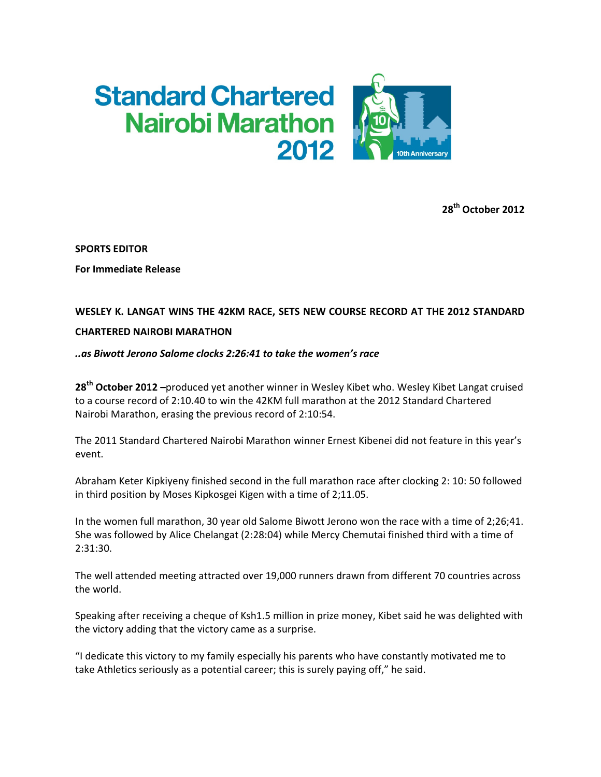# **Standard Chartered Nairobi Marathon** 2012



28<sup>th</sup> October 2012

SPORTS EDITOR

For Immediate Release

## WESLEY K. LANGAT WINS THE 42KM RACE, SETS NEW COURSE RECORD AT THE 2012 STANDARD

### CHARTERED NAIROBI MARATHON

### ..as Biwott Jerono Salome clocks 2:26:41 to take the women's race

28<sup>th</sup> October 2012 –produced yet another winner in Wesley Kibet who. Wesley Kibet Langat cruised to a course record of 2:10.40 to win the 42KM full marathon at the 2012 Standard Chartered Nairobi Marathon, erasing the previous record of 2:10:54.

The 2011 Standard Chartered Nairobi Marathon winner Ernest Kibenei did not feature in this year's event.

Abraham Keter Kipkiyeny finished second in the full marathon race after clocking 2: 10: 50 followed in third position by Moses Kipkosgei Kigen with a time of 2;11.05.

In the women full marathon, 30 year old Salome Biwott Jerono won the race with a time of 2;26;41. She was followed by Alice Chelangat (2:28:04) while Mercy Chemutai finished third with a time of 2:31:30.

The well attended meeting attracted over 19,000 runners drawn from different 70 countries across the world.

Speaking after receiving a cheque of Ksh1.5 million in prize money, Kibet said he was delighted with the victory adding that the victory came as a surprise.

"I dedicate this victory to my family especially his parents who have constantly motivated me to take Athletics seriously as a potential career; this is surely paying off," he said.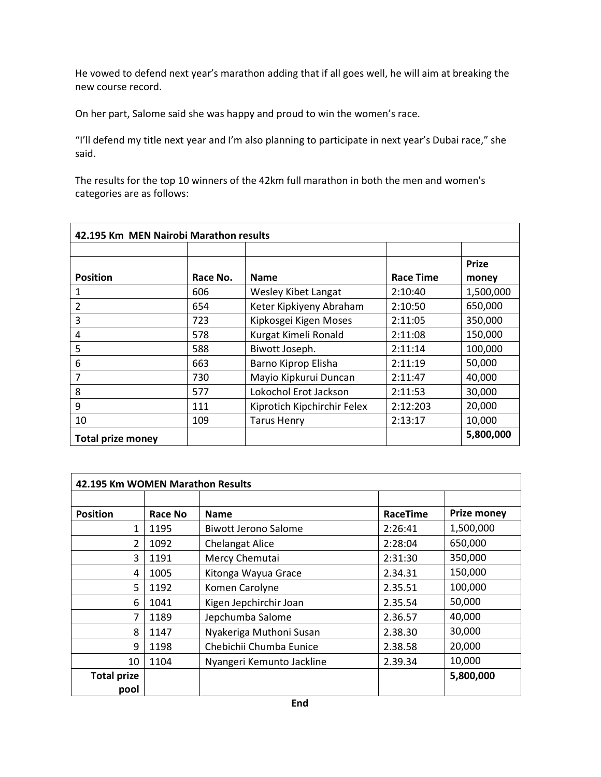He vowed to defend next year's marathon adding that if all goes well, he will aim at breaking the new course record.

On her part, Salome said she was happy and proud to win the women's race.

"I'll defend my title next year and I'm also planning to participate in next year's Dubai race," she said.

The results for the top 10 winners of the 42km full marathon in both the men and women's categories are as follows:

| 42.195 Km MEN Nairobi Marathon results |          |                             |           |                       |  |  |
|----------------------------------------|----------|-----------------------------|-----------|-----------------------|--|--|
| <b>Position</b>                        | Race No. | <b>Name</b>                 | Race Time | <b>Prize</b><br>money |  |  |
| 1                                      | 606      | Wesley Kibet Langat         | 2:10:40   | 1,500,000             |  |  |
| 2                                      | 654      | Keter Kipkiyeny Abraham     | 2:10:50   | 650,000               |  |  |
| 3                                      | 723      | Kipkosgei Kigen Moses       | 2:11:05   | 350,000               |  |  |
| 4                                      | 578      | Kurgat Kimeli Ronald        | 2:11:08   | 150,000               |  |  |
| 5                                      | 588      | Biwott Joseph.              | 2:11:14   | 100,000               |  |  |
| 6                                      | 663      | Barno Kiprop Elisha         | 2:11:19   | 50,000                |  |  |
| 7                                      | 730      | Mayio Kipkurui Duncan       | 2:11:47   | 40,000                |  |  |
| 8                                      | 577      | Lokochol Erot Jackson       | 2:11:53   | 30,000                |  |  |
| 9                                      | 111      | Kiprotich Kipchirchir Felex | 2:12:203  | 20,000                |  |  |
| 10                                     | 109      | <b>Tarus Henry</b>          | 2:13:17   | 10,000                |  |  |
| <b>Total prize money</b>               |          |                             |           | 5,800,000             |  |  |

| 42.195 Km WOMEN Marathon Results |         |                           |                 |                    |  |  |  |
|----------------------------------|---------|---------------------------|-----------------|--------------------|--|--|--|
|                                  |         |                           |                 |                    |  |  |  |
| <b>Position</b>                  | Race No | <b>Name</b>               | <b>RaceTime</b> | <b>Prize money</b> |  |  |  |
| 1                                | 1195    | Biwott Jerono Salome      | 2:26:41         | 1,500,000          |  |  |  |
| $\overline{2}$                   | 1092    | <b>Chelangat Alice</b>    | 2:28:04         | 650,000            |  |  |  |
| 3                                | 1191    | Mercy Chemutai            | 2:31:30         | 350,000            |  |  |  |
| 4                                | 1005    | Kitonga Wayua Grace       | 2.34.31         | 150,000            |  |  |  |
| 5                                | 1192    | Komen Carolyne            | 2.35.51         | 100,000            |  |  |  |
| 6                                | 1041    | Kigen Jepchirchir Joan    | 2.35.54         | 50,000             |  |  |  |
| 7                                | 1189    | Jepchumba Salome          | 2.36.57         | 40,000             |  |  |  |
| 8                                | 1147    | Nyakeriga Muthoni Susan   | 2.38.30         | 30,000             |  |  |  |
| 9                                | 1198    | Chebichii Chumba Eunice   | 2.38.58         | 20,000             |  |  |  |
| 10                               | 1104    | Nyangeri Kemunto Jackline | 2.39.34         | 10,000             |  |  |  |
| <b>Total prize</b>               |         |                           |                 | 5,800,000          |  |  |  |
| pool                             |         |                           |                 |                    |  |  |  |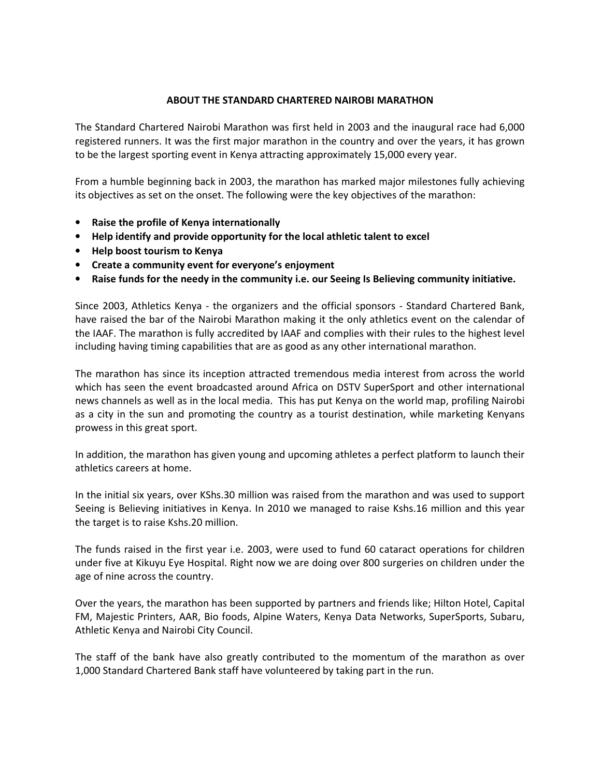#### ABOUT THE STANDARD CHARTERED NAIROBI MARATHON

The Standard Chartered Nairobi Marathon was first held in 2003 and the inaugural race had 6,000 registered runners. It was the first major marathon in the country and over the years, it has grown to be the largest sporting event in Kenya attracting approximately 15,000 every year.

From a humble beginning back in 2003, the marathon has marked major milestones fully achieving its objectives as set on the onset. The following were the key objectives of the marathon:

- Raise the profile of Kenya internationally
- Help identify and provide opportunity for the local athletic talent to excel
- Help boost tourism to Kenya
- Create a community event for everyone's enjoyment
- Raise funds for the needy in the community i.e. our Seeing Is Believing community initiative.

Since 2003, Athletics Kenya - the organizers and the official sponsors - Standard Chartered Bank, have raised the bar of the Nairobi Marathon making it the only athletics event on the calendar of the IAAF. The marathon is fully accredited by IAAF and complies with their rules to the highest level including having timing capabilities that are as good as any other international marathon.

The marathon has since its inception attracted tremendous media interest from across the world which has seen the event broadcasted around Africa on DSTV SuperSport and other international news channels as well as in the local media. This has put Kenya on the world map, profiling Nairobi as a city in the sun and promoting the country as a tourist destination, while marketing Kenyans prowess in this great sport.

In addition, the marathon has given young and upcoming athletes a perfect platform to launch their athletics careers at home.

In the initial six years, over KShs.30 million was raised from the marathon and was used to support Seeing is Believing initiatives in Kenya. In 2010 we managed to raise Kshs.16 million and this year the target is to raise Kshs.20 million.

The funds raised in the first year i.e. 2003, were used to fund 60 cataract operations for children under five at Kikuyu Eye Hospital. Right now we are doing over 800 surgeries on children under the age of nine across the country.

Over the years, the marathon has been supported by partners and friends like; Hilton Hotel, Capital FM, Majestic Printers, AAR, Bio foods, Alpine Waters, Kenya Data Networks, SuperSports, Subaru, Athletic Kenya and Nairobi City Council.

The staff of the bank have also greatly contributed to the momentum of the marathon as over 1,000 Standard Chartered Bank staff have volunteered by taking part in the run.